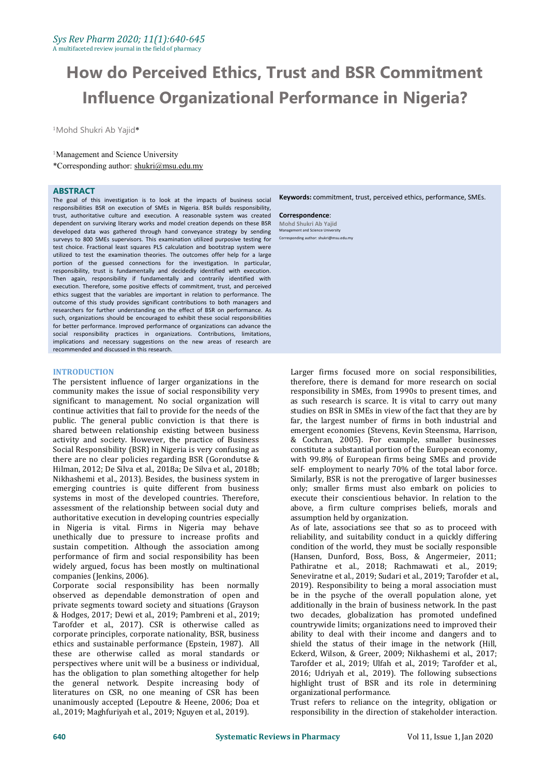# **How do Perceived Ethics, Trust and BSR Commitment Influence Organizational Performance in Nigeria?**

<sup>1</sup>Mohd Shukri Ab Yajid\*

<sup>1</sup>Management and Science University

\*Corresponding author: [shukri@msu.edu.my](mailto:mdgapar@msu.edu.my)

### **ABSTRACT**

The goal of this investigation is to look at the impacts of business social responsibilities BSR on execution of SMEs in Nigeria. BSR builds responsibility, trust, authoritative culture and execution. A reasonable system was created dependent on surviving literary works and model creation depends on these BSR developed data was gathered through hand conveyance strategy by sending surveys to 800 SMEs supervisors. This examination utilized purposive testing for test choice. Fractional least squares PLS calculation and bootstrap system were utilized to test the examination theories. The outcomes offer help for a large portion of the guessed connections for the investigation. In particular, responsibility, trust is fundamentally and decidedly identified with execution. Then again, responsibility if fundamentally and contrarily identified with execution. Therefore, some positive effects of commitment, trust, and perceived ethics suggest that the variables are important in relation to performance. The outcome of this study provides significant contributions to both managers and researchers for further understanding on the effect of BSR on performance. As such, organizations should be encouraged to exhibit these social responsibilities for better performance. Improved performance of organizations can advance the social responsibility practices in organizations. Contributions, limitations, implications and necessary suggestions on the new areas of research are recommended and discussed in this research.

## **INTRODUCTION**

The persistent influence of larger organizations in the community makes the issue of social responsibility very significant to management. No social organization will continue activities that fail to provide for the needs of the public. The general public conviction is that there is shared between relationship existing between business activity and society. However, the practice of Business Social Responsibility (BSR) in Nigeria is very confusing as there are no clear policies regarding BSR (Gorondutse & Hilman, 2012; De Silva et al., 2018a; De Silva et al., 2018b; Nikhashemi et al., 2013). Besides, the business system in emerging countries is quite different from business systems in most of the developed countries. Therefore, assessment of the relationship between social duty and authoritative execution in developing countries especially in Nigeria is vital. Firms in Nigeria may behave unethically due to pressure to increase profits and sustain competition. Although the association among performance of firm and social responsibility has been widely argued, focus has been mostly on multinational companies (Jenkins, 2006).

Corporate social responsibility has been normally observed as dependable demonstration of open and private segments toward society and situations (Grayson & Hodges, 2017; Dewi et al., 2019; Pambreni et al., 2019; Tarofder et al., 2017). CSR is otherwise called as corporate principles, corporate nationality, BSR, business ethics and sustainable performance (Epstein, 1987). All these are otherwise called as moral standards or perspectives where unit will be a business or individual, has the obligation to plan something altogether for help the general network. Despite increasing body of literatures on CSR, no one meaning of CSR has been unanimously accepted (Lepoutre & Heene, 2006; Doa et al., 2019; Maghfuriyah et al., 2019; Nguyen et al., 2019).

**Keywords:** commitment, trust, perceived ethics, performance, SMEs.

#### **Correspondence**: **Mohd Shukri Ab Yajid** Management and Science Un

Corresponding author: shukri@msu.edu.my

Larger firms focused more on social responsibilities, therefore, there is demand for more research on social responsibility in SMEs, from 1990s to present times, and as such research is scarce. It is vital to carry out many studies on BSR in SMEs in view of the fact that they are by far, the largest number of firms in both industrial and emergent economies (Stevens, Kevin Steensma, Harrison, & Cochran, 2005). For example, smaller businesses constitute a substantial portion of the European economy, with 99.8% of European firms being SMEs and provide self- employment to nearly 70% of the total labor force. Similarly, BSR is not the prerogative of larger businesses only; smaller firms must also embark on policies to execute their conscientious behavior. In relation to the above, a firm culture comprises beliefs, morals and assumption held by organization.

As of late, associations see that so as to proceed with reliability, and suitability conduct in a quickly differing condition of the world, they must be socially responsible (Hansen, Dunford, Boss, Boss, & Angermeier, 2011; Pathiratne et al., 2018; Rachmawati et al., 2019; Seneviratne et al., 2019; Sudari et al., 2019; Tarofder et al., 2019). Responsibility to being a moral association must be in the psyche of the overall population alone, yet additionally in the brain of business network. In the past two decades, globalization has promoted undefined countrywide limits; organizations need to improved their ability to deal with their income and dangers and to shield the status of their image in the network (Hill, Eckerd, Wilson, & Greer, 2009; Nikhashemi et al., 2017; Tarofder et al., 2019; Ulfah et al., 2019; Tarofder et al., 2016; Udriyah et al., 2019). The following subsections highlight trust of BSR and its role in determining organizational performance.

Trust refers to reliance on the integrity, obligation or responsibility in the direction of stakeholder interaction.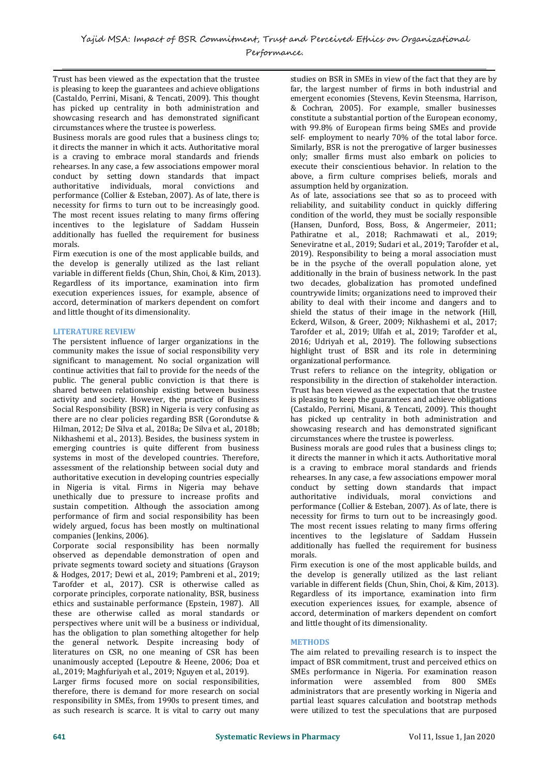Trust has been viewed as the expectation that the trustee is pleasing to keep the guarantees and achieve obligations (Castaldo, Perrini, Misani, & Tencati, 2009). This thought has picked up centrality in both administration and showcasing research and has demonstrated significant circumstances where the trustee is powerless.

Business morals are good rules that a business clings to; it directs the manner in which it acts. Authoritative moral is a craving to embrace moral standards and friends rehearses. In any case, a few associations empower moral conduct by setting down standards that impact<br>authoritative individuals, moral convictions and individuals, moral convictions performance (Collier & Esteban, 2007). As of late, there is necessity for firms to turn out to be increasingly good. The most recent issues relating to many firms offering incentives to the legislature of Saddam Hussein additionally has fuelled the requirement for business morals.

Firm execution is one of the most applicable builds, and the develop is generally utilized as the last reliant variable in different fields (Chun, Shin, Choi, & Kim, 2013). Regardless of its importance, examination into firm execution experiences issues, for example, absence of accord, determination of markers dependent on comfort and little thought of its dimensionality.

# **LITERATURE REVIEW**

The persistent influence of larger organizations in the community makes the issue of social responsibility very significant to management. No social organization will continue activities that fail to provide for the needs of the public. The general public conviction is that there is shared between relationship existing between business activity and society. However, the practice of Business Social Responsibility (BSR) in Nigeria is very confusing as there are no clear policies regarding BSR (Gorondutse & Hilman, 2012; De Silva et al., 2018a; De Silva et al., 2018b; Nikhashemi et al., 2013). Besides, the business system in emerging countries is quite different from business systems in most of the developed countries. Therefore, assessment of the relationship between social duty and authoritative execution in developing countries especially in Nigeria is vital. Firms in Nigeria may behave unethically due to pressure to increase profits and sustain competition. Although the association among performance of firm and social responsibility has been widely argued, focus has been mostly on multinational companies (Jenkins, 2006).

Corporate social responsibility has been normally observed as dependable demonstration of open and private segments toward society and situations (Grayson & Hodges, 2017; Dewi et al., 2019; Pambreni et al., 2019; Tarofder et al., 2017). CSR is otherwise called as corporate principles, corporate nationality, BSR, business ethics and sustainable performance (Epstein, 1987). All these are otherwise called as moral standards or perspectives where unit will be a business or individual, has the obligation to plan something altogether for help the general network. Despite increasing body of literatures on CSR, no one meaning of CSR has been unanimously accepted (Lepoutre & Heene, 2006; Doa et al., 2019; Maghfuriyah et al., 2019; Nguyen et al., 2019).

Larger firms focused more on social responsibilities, therefore, there is demand for more research on social responsibility in SMEs, from 1990s to present times, and as such research is scarce. It is vital to carry out many

studies on BSR in SMEs in view of the fact that they are by far, the largest number of firms in both industrial and emergent economies (Stevens, Kevin Steensma, Harrison, & Cochran, 2005). For example, smaller businesses constitute a substantial portion of the European economy, with 99.8% of European firms being SMEs and provide self- employment to nearly 70% of the total labor force. Similarly, BSR is not the prerogative of larger businesses only; smaller firms must also embark on policies to execute their conscientious behavior. In relation to the above, a firm culture comprises beliefs, morals and assumption held by organization.

As of late, associations see that so as to proceed with reliability, and suitability conduct in quickly differing condition of the world, they must be socially responsible (Hansen, Dunford, Boss, Boss, & Angermeier, 2011; Pathiratne et al., 2018; Rachmawati et al., 2019; Seneviratne et al., 2019; Sudari et al., 2019; Tarofder et al., 2019). Responsibility to being a moral association must be in the psyche of the overall population alone, yet additionally in the brain of business network. In the past two decades, globalization has promoted undefined countrywide limits; organizations need to improved their ability to deal with their income and dangers and to shield the status of their image in the network (Hill, Eckerd, Wilson, & Greer, 2009; Nikhashemi et al., 2017; Tarofder et al., 2019; Ulfah et al., 2019; Tarofder et al., 2016; Udriyah et al., 2019). The following subsections highlight trust of BSR and its role in determining organizational performance.

Trust refers to reliance on the integrity, obligation or responsibility in the direction of stakeholder interaction. Trust has been viewed as the expectation that the trustee is pleasing to keep the guarantees and achieve obligations (Castaldo, Perrini, Misani, & Tencati, 2009). This thought has picked up centrality in both administration and showcasing research and has demonstrated significant circumstances where the trustee is powerless.

Business morals are good rules that a business clings to; it directs the manner in which it acts. Authoritative moral is a craving to embrace moral standards and friends rehearses. In any case, a few associations empower moral conduct by setting down standards that impact authoritative individuals, moral convictions and performance (Collier & Esteban, 2007). As of late, there is necessity for firms to turn out to be increasingly good. The most recent issues relating to many firms offering incentives to the legislature of Saddam Hussein additionally has fuelled the requirement for business morals.

Firm execution is one of the most applicable builds, and the develop is generally utilized as the last reliant variable in different fields (Chun, Shin, Choi, & Kim, 2013). Regardless of its importance, examination into firm execution experiences issues, for example, absence of accord, determination of markers dependent on comfort and little thought of its dimensionality.

## **METHODS**

The aim related to prevailing research is to inspect the impact of BSR commitment, trust and perceived ethics on SMEs performance in Nigeria. For examination reason<br>information were assembled from 800 SMEs  $information$  were assembled from  $800$ administrators that are presently working in Nigeria and partial least squares calculation and bootstrap methods were utilized to test the speculations that are purposed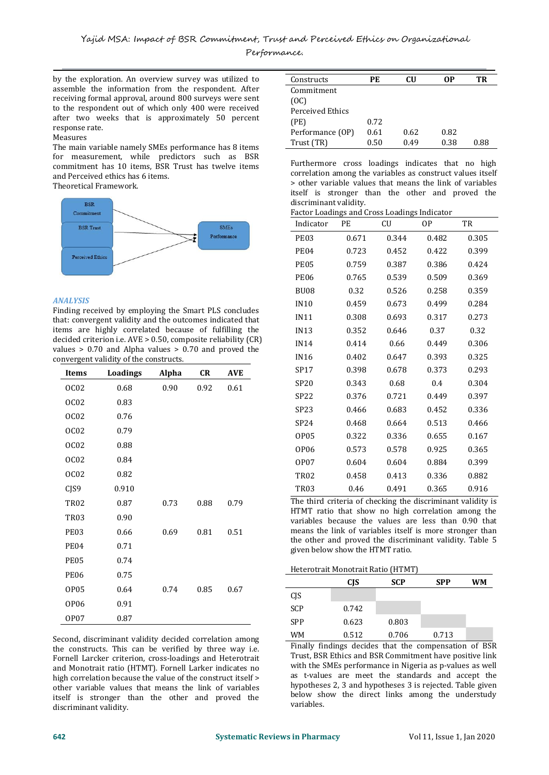by the exploration. An overview survey was utilized to assemble the information from the respondent. After receiving formal approval, around 800 surveys were sent to the respondent out of which only 400 were received after two weeks that is approximately 50 percent response rate.<br>Measures

# Measures

The main variable namely SMEs performance has 8 items  $\frac{1}{2}$ for measurement, while predictors such as BSR and Perceived ethics has 6 items.

Theoretical Framework.



# *ANALYSIS*

Finding received by employing the Smart PLS concludes that: convergent validity and the outcomes indicated that items are highly correlated because of fulfilling the decided criterion i.e. AVE > 0.50, composite reliability (CR) values > 0.70 and Alpha values > 0.70 and proved the convergent validity of the constructs.

| <b>Items</b>     | <b>Loadings</b> | Alpha | <b>CR</b> | <b>AVE</b> | SP17                       |
|------------------|-----------------|-------|-----------|------------|----------------------------|
| OC <sub>02</sub> | 0.68            | 0.90  | 0.92      | 0.61       | <b>SP20</b>                |
| OC <sub>02</sub> | 0.83            |       |           |            | SP22                       |
| OC <sub>02</sub> | 0.76            |       |           |            | SP23                       |
| OC <sub>02</sub> | 0.79            |       |           |            | SP24                       |
|                  |                 |       |           |            | <b>OP05</b>                |
| OC <sub>02</sub> | 0.88            |       |           |            | <b>OP06</b>                |
| OC <sub>02</sub> | 0.84            |       |           |            | <b>OP07</b>                |
| OC <sub>02</sub> | 0.82            |       |           |            | <b>TR02</b>                |
| CJS9             | 0.910           |       |           |            | <b>TR03</b>                |
| <b>TR02</b>      | 0.87            | 0.73  | 0.88      | 0.79       | The third cr               |
| <b>TR03</b>      | 0.90            |       |           |            | HTMT ratio<br>variables b  |
| <b>PE03</b>      | 0.66            | 0.69  | 0.81      | 0.51       | means the 1                |
| <b>PE04</b>      | 0.71            |       |           |            | the other a<br>given below |
| <b>PE05</b>      | 0.74            |       |           |            |                            |
| <b>PE06</b>      | 0.75            |       |           |            | Heterotrait I              |
| <b>OP05</b>      | 0.64            | 0.74  | 0.85      | 0.67       |                            |
| <b>OP06</b>      | 0.91            |       |           |            | CJS                        |
|                  |                 |       |           |            | SCP                        |
| <b>OP07</b>      | 0.87            |       |           |            | <b>SPP</b>                 |

Second, discriminant validity decided correlation among the constructs. This can be verified by three way i.e. Fornell Larcker criterion, cross-loadings and Heterotrait and Monotrait ratio (HTMT). Fornell Larker indicates no high correlation because the value of the construct itself > other variable values that means the link of variables itself is stronger than the other and proved the discriminant validity.

| Constructs       | РE   | CU   | 0P   | TR   |
|------------------|------|------|------|------|
| Commitment       |      |      |      |      |
| (OC)             |      |      |      |      |
| Perceived Ethics |      |      |      |      |
| (PE)             | 0.72 |      |      |      |
| Performance (OP) | 0.61 | 0.62 | 0.82 |      |
| Trust (TR)       | 0.50 | 0.49 | 0.38 | 0.88 |

commitment has 10 items, BSR Trust has twelve items<br>correlation among the variables as construct values itself<br>correlation among the variables as construct values itself Furthermore cross loadings indicates that no high  $>$  other variable values that means the link of variables itself is stronger than the other and proved the discriminant validity.

Factor Loadings and Cross Loadings Indicator

| r actor Boaamgo and Gross Boaamgo marcator<br>Indicator | PE    | CU    | OP.     | TR    |
|---------------------------------------------------------|-------|-------|---------|-------|
| PE03                                                    | 0.671 | 0.344 | 0.482   | 0.305 |
| <b>PE04</b>                                             | 0.723 | 0.452 | 0.422   | 0.399 |
| <b>PE05</b>                                             | 0.759 | 0.387 | 0.386   | 0.424 |
| <b>PE06</b>                                             | 0.765 | 0.539 | 0.509   | 0.369 |
| <b>BU08</b>                                             | 0.32  | 0.526 | 0.258   | 0.359 |
| <b>IN10</b>                                             | 0.459 | 0.673 | 0.499   | 0.284 |
| IN11                                                    | 0.308 | 0.693 | 0.317   | 0.273 |
| IN13                                                    | 0.352 | 0.646 | 0.37    | 0.32  |
| <b>IN14</b>                                             | 0.414 | 0.66  | 0.449   | 0.306 |
| <b>IN16</b>                                             | 0.402 | 0.647 | 0.393   | 0.325 |
| SP <sub>17</sub>                                        | 0.398 | 0.678 | 0.373   | 0.293 |
| <b>SP20</b>                                             | 0.343 | 0.68  | $0.4\,$ | 0.304 |
| <b>SP22</b>                                             | 0.376 | 0.721 | 0.449   | 0.397 |
| SP <sub>23</sub>                                        | 0.466 | 0.683 | 0.452   | 0.336 |
| SP24                                                    | 0.468 | 0.664 | 0.513   | 0.466 |
| <b>OP05</b>                                             | 0.322 | 0.336 | 0.655   | 0.167 |
| <b>OP06</b>                                             | 0.573 | 0.578 | 0.925   | 0.365 |
| <b>OP07</b>                                             | 0.604 | 0.604 | 0.884   | 0.399 |
| <b>TR02</b>                                             | 0.458 | 0.413 | 0.336   | 0.882 |
| <b>TR03</b>                                             | 0.46  | 0.491 | 0.365   | 0.916 |

The third criteria of checking the discriminant validity is HTMT ratio that show no high correlation among the variables because the values are less than 0.90 that means the link of variables itself is more stronger than the other and proved the discriminant validity. Table 5 given below show the HTMT ratio.

Heterotrait Monotrait Ratio (HTMT)

|            | CJS   | <b>SCP</b> | <b>SPP</b> | WM |
|------------|-------|------------|------------|----|
| CJS        |       |            |            |    |
| <b>SCP</b> | 0.742 |            |            |    |
| <b>SPP</b> | 0.623 | 0.803      |            |    |
| <b>WM</b>  | 0.512 | 0.706      | 0.713      |    |

Finally findings decides that the compensation of BSR Trust, BSR Ethics and BSR Commitment have positive link with the SMEs performance in Nigeria as p-values as well as t-values are meet the standards and accept the hypotheses 2, 3 and hypotheses 3 is rejected. Table given below show the direct links among the understudy variables.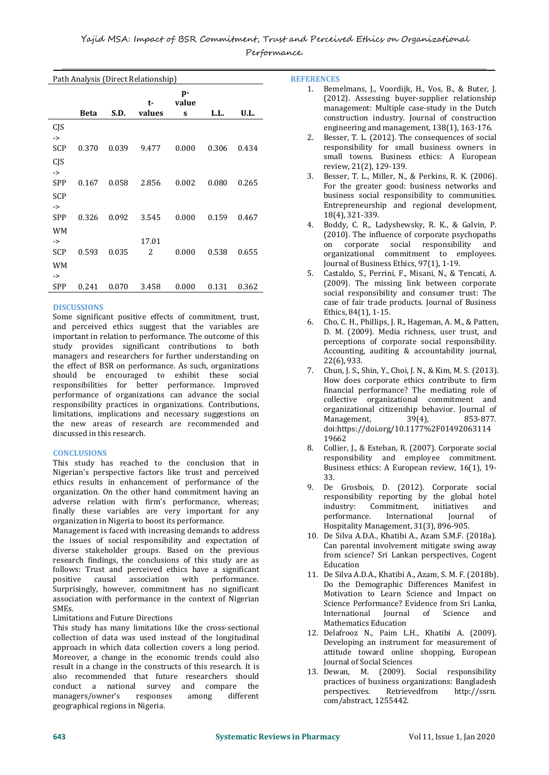Path Analysis (Direct Relationship)

|               |             |       | t-     | p-<br>value |       |       |
|---------------|-------------|-------|--------|-------------|-------|-------|
|               | <b>Beta</b> | S.D.  | values | S           | L.L.  | U.L.  |
| CJS           |             |       |        |             |       |       |
| $\rightarrow$ |             |       |        |             |       |       |
| SCP           | 0.370       | 0.039 | 9.477  | 0.000       | 0.306 | 0.434 |
| CJS           |             |       |        |             |       |       |
| $\rightarrow$ |             |       |        |             |       |       |
| <b>SPP</b>    | 0.167       | 0.058 | 2.856  | 0.002       | 0.080 | 0.265 |
| <b>SCP</b>    |             |       |        |             |       |       |
| ->            |             |       |        |             |       |       |
| <b>SPP</b>    | 0.326       | 0.092 | 3.545  | 0.000       | 0.159 | 0.467 |
| <b>WM</b>     |             |       |        |             |       |       |
| ->            |             |       | 17.01  |             |       |       |
| SCP           | 0.593       | 0.035 | 2      | 0.000       | 0.538 | 0.655 |
| <b>WM</b>     |             |       |        |             |       |       |
| ->            |             |       |        |             |       |       |
| <b>SPP</b>    | 0.241       | 0.070 | 3.458  | 0.000       | 0.131 | 0.362 |
|               |             |       |        |             |       |       |

# **DISCUSSIONS**

Some significant positive effects of commitment, trust, and perceived ethics suggest that the variables are important in relation to performance. The outcome of this study provides significant contributions to both managers and researchers for further understanding on the effect of BSR on performance. As such, organizations should be encouraged to exhibit these social responsibilities for better performance. Improved<br>financial performance? The mediating role of performance of organizations can advance the social responsibility practices in organizations. Contributions, limitations, implications and necessary suggestions on the distribution of the Management, the new areas of research are recommended and discussed in this research.

# **CONCLUSIONS**

This study has reached to the conclusion that in Nigerian's perspective factors like trust and perceived 33. ethics results in enhancement of performance of the organization. On the other hand commitment having an adverse relation with firm's performance, whereas; finally these variables are very important for any the extraordinate. The extraordinate of the extraordinate of the extraordinate of the extraordinate of the extraordinate of the extraordinate. organization in Nigeria to boost its performance.

Management is faced with increasing demands to address the issues of social responsibility and expectation of diverse stakeholder groups. Based on the previous research findings, the conclusions of this study are as follows: Trust and perceived ethics have a significant positive causal association with performance. positive causal association with performance. Surprisingly, however, commitment has no significant association with performance in the context of Nigerian SMEs.

## Limitations and Future Directions

This study has many limitations like the cross-sectional collection of data was used instead of the longitudinal approach in which data collection covers a long period. Moreover, a change in the economic trends could also result in a change in the constructs of this research. It is also recommended that future researchers should<br>conduct a national survey and compare the conduct a national survey and compare the managers/owner's geographical regions in Nigeria.

**REFERENCES**

- 1. Bemelmans, J., Voordijk, H., Vos, B., & Buter, J. (2012). Assessing buyer-supplier relationship management: Multiple case-study in the Dutch construction industry. Journal of construction engineering and management, 138(1), 163-176.
- 2. Besser, T. L. (2012). The consequences of social responsibility for small business owners in small towns. Business ethics: A European review, 21(2), 129-139.
- 3. Besser, T. L., Miller, N., & Perkins, R. K. (2006). For the greater good: business networks and business social responsibility to communities. Entrepreneurship and regional development, 18(4), 321-339.
- 2 0.000 0.538 0.655 organizational commitment to employees. 4. Boddy, C. R., Ladyshewsky, R. K., & Galvin, P. (2010). The influence of corporate psychopaths on corporate social responsibility and Journal of Business Ethics, 97(1), 1-19.
	- 5. Castaldo, S., Perrini, F., Misani, N., & Tencati, A. (2009). The missing link between corporate social responsibility and consumer trust: The case of fair trade products. Journal of Business Ethics, 84(1), 1-15.
	- 6. Cho, C. H., Phillips, J. R., Hageman, A. M., & Patten, D. M. (2009). Media richness, user trust, and perceptions of corporate social responsibility. Accounting, auditing & accountability journal, 22(6), 933.
	- 7. Chun, J. S., Shin, Y., Choi, J. N., & Kim, M. S. (2013). How does corporate ethics contribute to firm collective organizational commitment and organizational citizenship behavior. Journal of Management,  $39(4)$ , 853-877. Management, 39(4), 853-877. doi:https://doi.org/10.1177%2F01492063114 19662
	- 8. Collier, J., & Esteban, R. (2007). Corporate social responsibility and employee commitment. Business ethics: A European review, 16(1), 19-33.
	- 9. De Grosbois, D. (2012). Corporate social responsibility reporting by the global hotel<br>industry: Commitment, initiatives and Commitment, initiatives and<br>ice. International Journal of International Hospitality Management, 31(3), 896-905.
	- 10. De Silva A.D.A., Khatibi A., Azam S.M.F. (2018a). Can parental involvement mitigate swing away from science? Sri Lankan perspectives, Cogent Education
	- 11. De Silva A.D.A., Khatibi A., Azam, S. M. F. (2018b). Do the Demographic Differences Manifest in Motivation to Learn Science and Impact on Science Performance? Evidence from Sri Lanka,<br>International Journal of Science and International Journal
	- Mathematics Education<br>12. Delafrooz N., Paim L.H., Khatibi A. (2009). Developing an instrument for measurement of attitude toward online shopping, European Journal of Social Sciences
	- 13. Dewan, M. (2009). Social responsibility practices of business organizations: Bangladesh<br>perspectives. Retrievedfrom http://ssrn. perspectives. Retrievedfrom com/abstract, 1255442.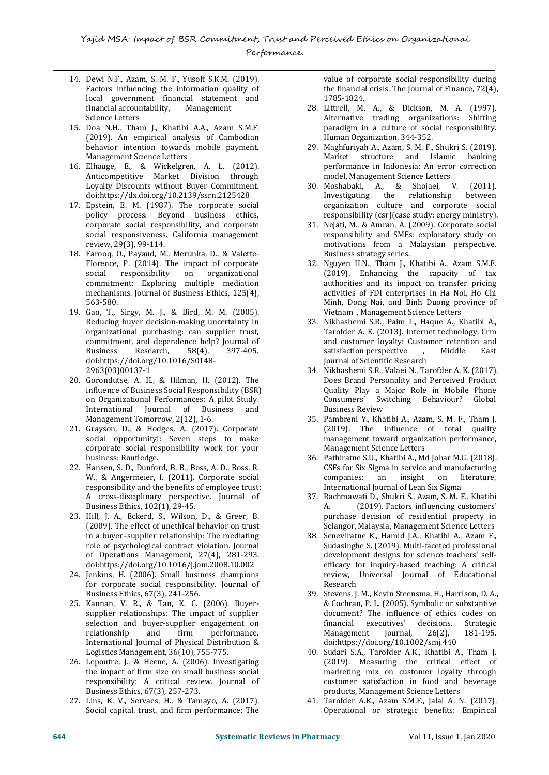- 14. Dewi N.F., Azam, S. M. F., Yusoff S.K.M. (2019). Factors influencing the information quality of the financia<br>
local government financial statement and 1785-1824. local government financial statement and<br>financial accountability, Management financial accountability, Science Letters
- 15. Doa N.H., Tham J., Khatibi A.A., Azam S.M.F. (2019). An empirical analysis of Cambodian behavior intention towards mobile payment. Management Science Letters
- 16. Elhauge, E., & Wickelgren, A. L. (2012). Anticompetitive Market Division through Loyalty Discounts without Buyer Commitment. doi:https://dx.doi.org/10.2139/ssrn.2125428
- 17. Epstein, E. M. (1987). The corporate social policy process: Beyond business ethics, corporate social responsibility, and corporate social responsiveness. California management review, 29(3), 99-114.
- 18. Farooq, O., Payaud, M., Merunka, D., & Valette- Florence, P. (2014). The impact of corporate<br>social responsibility on organizational social responsibility on organizational commitment: Exploring multiple mediation mechanisms. Journal of Business Ethics, 125(4), 563-580.
- 19. Gao, T., Sirgy, M. J., & Bird, M. M. (2005). Reducing buyer decision-making uncertainty in organizational purchasing: can supplier trust, commitment, and dependence help? Journal of<br>Business Research, 58(4), 397-405. Research, doi:https://doi.org/10.1016/S0148- 2963(03)00137-1
- 20. Gorondutse, A. H., & Hilman, H. (2012).The influence of Business Social Responsibility (BSR) on Organizational Performances: A pilot Study. International Journal of Business and Management Tomorrow, 2(12), 1-6.
- 21. Grayson, D., & Hodges, A. (2017). Corporate social opportunity!: Seven steps to make corporate social responsibility work for your business: Routledge.
- 22. Hansen, S. D., Dunford, B. B., Boss, A. D., Boss, R. W., & Angermeier, I. (2011). Corporate social responsibility and the benefits of employee trust: A cross-disciplinary perspective. Journal of Business Ethics, 102(1), 29-45.
- 23. Hill, J. A., Eckerd, S., Wilson, D., & Greer, B. (2009). The effect of unethical behavior on trust in a buyer–supplier relationship: The mediating role of psychological contract violation. Journal of Operations Management, 27(4), 281-293. doi:https://doi.org/10.1016/j.jom.2008.10.002
- 24. Jenkins, H. (2006). Small business champions for corporate social responsibility. Journal of Business Ethics, 67(3), 241-256.
- 25. Kannan, V. R., & Tan, K. C. (2006). Buyer supplier relationships: The impact of supplier<br>selection and buver-supplier engagement on the financial selection and buyer-supplier engagement on relationship and firm performance. performance. International Journal of Physical Distribution & Logistics Management, 36(10), 755-775.
- 26. Lepoutre, J., & Heene, A. (2006). Investigating the impact of firm size on small business social responsibility: A critical review. Journal of Business Ethics, 67(3), 257-273.
- 27. Lins, K. V., Servaes, H., & Tamayo, A. (2017). Social capital, trust, and firm performance: The

value of corporate social responsibility during the financial crisis. The Journal of Finance, 72(4), 1785-1824.

- 28. Littrell, M. A., & Dickson, M. A. (1997). Alternative trading organizations: Shifting paradigm in a culture of social responsibility. Human Organization, 344-352.
- 29. Maghfuriyah A., Azam, S. M. F., Shukri S. (2019). Market structure and Islamic banking performance in Indonesia: An error correction
- model, Management Science Letters<br>Moshabaki, A., & Shojaei, V. (2011). 30. Moshabaki, A., & Shojaei, V. (2011). Investigating the relationship organization culture and corporate social responsibility (csr)(case study: energy ministry).
- 31. Nejati, M., & Amran, A. (2009). Corporate social responsibility and SMEs: exploratory study on motivations from a Malaysian perspective. Business strategy series.
- 32. Nguyen H.N., Tham J., Khatibi A., Azam S.M.F. (2019). Enhancing the capacity of tax authorities and its impact on transfer pricing activities of FDI enterprises in Ha Noi, Ho Chi Minh, Dong Nai, and Binh Duong province of Vietnam , Management Science Letters
- 33. Nikhashemi S.R., Paim L., Haque A., Khatibi A., Tarofder A. K. (2013). Internet technology, Crm and customer loyalty: Customer retention and<br>satisfaction perspective Middle East satisfaction perspective Journal of Scientific Research
- 34. Nikhashemi S.R., Valaei N.,Tarofder A. K. (2017). Does Brand Personality and Perceived Product Quality Play a Major Role in Mobile Phone Consumers' Switching Behaviour? Global Business Review
- 35. Pambreni Y., Khatibi A., Azam, S. M. F., Tham J. (2019). The influence of total quality management toward organization performance, Management Science Letters
- 36. Pathiratne S.U., Khatibi A., Md Johar M.G. (2018). CSFs for Six Sigma in service and manufacturing<br>companies: an insight on literature, companies: International Journal of Lean Six Sigma
- 37. Rachmawati D., Shukri S., Azam, S. M. F., Khatibi<br>A. (2019). Factors influencing customers' (2019). Factors influencing customers' purchase decision of residential property in Selangor, Malaysia, Management Science Letters
- 38. Seneviratne K., Hamid J.A., Khatibi A., Azam F., Sudasinghe S. (2019). Multi-faceted professional development designs for science teachers' self efficacy for inquiry-based teaching: A critical review, Universal Journal of Educational Research
- 39. Stevens, J. M., Kevin Steensma, H., Harrison, D. A., & Cochran, P. L. (2005). Symbolic or substantive document? The influence of ethics codes on<br>financial executives' decisions. Strategic utives' decisions. Strategic<br>Journal, 26(2), 181-195. Management doi:https://doi.org/10.1002/smj.440
- 40. Sudari S.A., Tarofder A.K., Khatibi A., Tham J. (2019). Measuring the critical effect of marketing mix on customer loyalty through customer satisfaction in food and beverage products, Management Science Letters
- 41. Tarofder A.K., Azam S.M.F., Jalal A. N. (2017). Operational or strategic benefits: Empirical